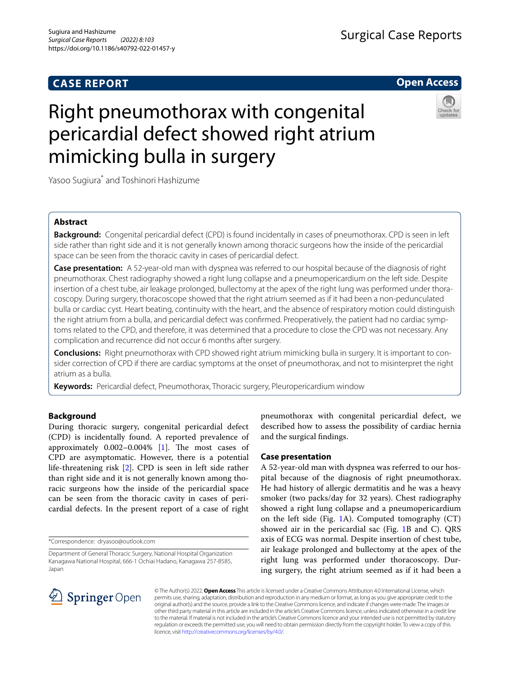## **CASE REPORT**



# Right pneumothorax with congenital pericardial defect showed right atrium mimicking bulla in surgery



Yasoo Sugiura\* and Toshinori Hashizume

## **Abstract**

**Background:** Congenital pericardial defect (CPD) is found incidentally in cases of pneumothorax. CPD is seen in left side rather than right side and it is not generally known among thoracic surgeons how the inside of the pericardial space can be seen from the thoracic cavity in cases of pericardial defect.

**Case presentation:** A 52-year-old man with dyspnea was referred to our hospital because of the diagnosis of right pneumothorax. Chest radiography showed a right lung collapse and a pneumopericardium on the left side. Despite insertion of a chest tube, air leakage prolonged, bullectomy at the apex of the right lung was performed under thoracoscopy. During surgery, thoracoscope showed that the right atrium seemed as if it had been a non-pedunculated bulla or cardiac cyst. Heart beating, continuity with the heart, and the absence of respiratory motion could distinguish the right atrium from a bulla, and pericardial defect was confrmed. Preoperatively, the patient had no cardiac symptoms related to the CPD, and therefore, it was determined that a procedure to close the CPD was not necessary. Any complication and recurrence did not occur 6 months after surgery.

**Conclusions:** Right pneumothorax with CPD showed right atrium mimicking bulla in surgery. It is important to consider correction of CPD if there are cardiac symptoms at the onset of pneumothorax, and not to misinterpret the right atrium as a bulla.

**Keywords:** Pericardial defect, Pneumothorax, Thoracic surgery, Pleuropericardium window

## **Background**

During thoracic surgery, congenital pericardial defect (CPD) is incidentally found. A reported prevalence of approximately  $0.002-0.004\%$  [\[1](#page-3-0)]. The most cases of CPD are asymptomatic. However, there is a potential life-threatening risk [\[2\]](#page-3-1). CPD is seen in left side rather than right side and it is not generally known among thoracic surgeons how the inside of the pericardial space can be seen from the thoracic cavity in cases of pericardial defects. In the present report of a case of right

\*Correspondence: dryasoo@outlook.com

pneumothorax with congenital pericardial defect, we described how to assess the possibility of cardiac hernia and the surgical fndings.

## **Case presentation**

A 52-year-old man with dyspnea was referred to our hospital because of the diagnosis of right pneumothorax. He had history of allergic dermatitis and he was a heavy smoker (two packs/day for 32 years). Chest radiography showed a right lung collapse and a pneumopericardium on the left side (Fig. [1A](#page-1-0)). Computed tomography (CT) showed air in the pericardial sac (Fig. [1B](#page-1-0) and C). QRS axis of ECG was normal. Despite insertion of chest tube, air leakage prolonged and bullectomy at the apex of the right lung was performed under thoracoscopy. During surgery, the right atrium seemed as if it had been a



© The Author(s) 2022. **Open Access** This article is licensed under a Creative Commons Attribution 4.0 International License, which permits use, sharing, adaptation, distribution and reproduction in any medium or format, as long as you give appropriate credit to the original author(s) and the source, provide a link to the Creative Commons licence, and indicate if changes were made. The images or other third party material in this article are included in the article's Creative Commons licence, unless indicated otherwise in a credit line to the material. If material is not included in the article's Creative Commons licence and your intended use is not permitted by statutory regulation or exceeds the permitted use, you will need to obtain permission directly from the copyright holder. To view a copy of this licence, visit [http://creativecommons.org/licenses/by/4.0/.](http://creativecommons.org/licenses/by/4.0/)

Department of General Thoracic Surgery, National Hospital Organization Kanagawa National Hospital, 666-1 Ochiai Hadano, Kanagawa 257-8585, Japan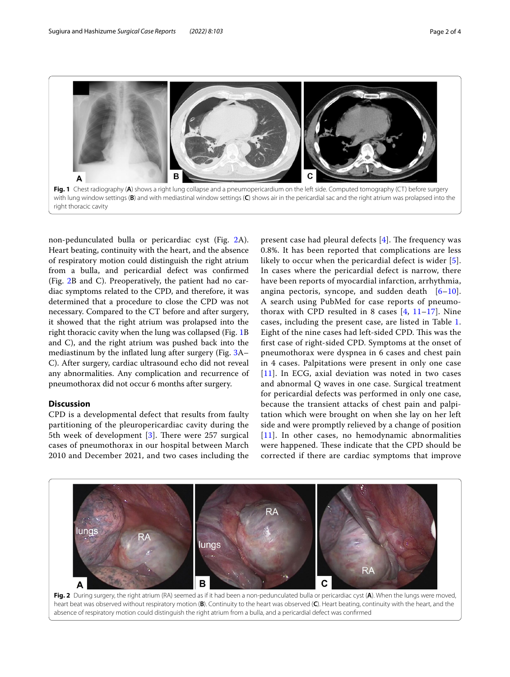

<span id="page-1-0"></span>non-pedunculated bulla or pericardiac cyst (Fig. [2](#page-1-1)A). Heart beating, continuity with the heart, and the absence of respiratory motion could distinguish the right atrium from a bulla, and pericardial defect was confrmed (Fig. [2](#page-1-1)B and C). Preoperatively, the patient had no cardiac symptoms related to the CPD, and therefore, it was determined that a procedure to close the CPD was not necessary. Compared to the CT before and after surgery, it showed that the right atrium was prolapsed into the right thoracic cavity when the lung was collapsed (Fig. [1B](#page-1-0) and C), and the right atrium was pushed back into the mediastinum by the infated lung after surgery (Fig. [3A](#page-2-0)– C). After surgery, cardiac ultrasound echo did not reveal any abnormalities. Any complication and recurrence of pneumothorax did not occur 6 months after surgery.

## **Discussion**

CPD is a developmental defect that results from faulty partitioning of the pleuropericardiac cavity during the 5th week of development  $[3]$  $[3]$  $[3]$ . There were 257 surgical cases of pneumothorax in our hospital between March 2010 and December 2021, and two cases including the present case had pleural defects  $[4]$  $[4]$  $[4]$ . The frequency was 0.8%. It has been reported that complications are less likely to occur when the pericardial defect is wider [[5](#page-3-4)]. In cases where the pericardial defect is narrow, there have been reports of myocardial infarction, arrhythmia, angina pectoris, syncope, and sudden death  $[6-10]$  $[6-10]$  $[6-10]$ . A search using PubMed for case reports of pneumothorax with CPD resulted in 8 cases  $[4, 11-17]$  $[4, 11-17]$  $[4, 11-17]$  $[4, 11-17]$  $[4, 11-17]$ . Nine cases, including the present case, are listed in Table [1](#page-2-1). Eight of the nine cases had left-sided CPD. This was the frst case of right-sided CPD. Symptoms at the onset of pneumothorax were dyspnea in 6 cases and chest pain in 4 cases. Palpitations were present in only one case [[11](#page-3-7)]. In ECG, axial deviation was noted in two cases and abnormal Q waves in one case. Surgical treatment for pericardial defects was performed in only one case, because the transient attacks of chest pain and palpitation which were brought on when she lay on her left side and were promptly relieved by a change of position [[11](#page-3-7)]. In other cases, no hemodynamic abnormalities were happened. These indicate that the CPD should be corrected if there are cardiac symptoms that improve



<span id="page-1-1"></span>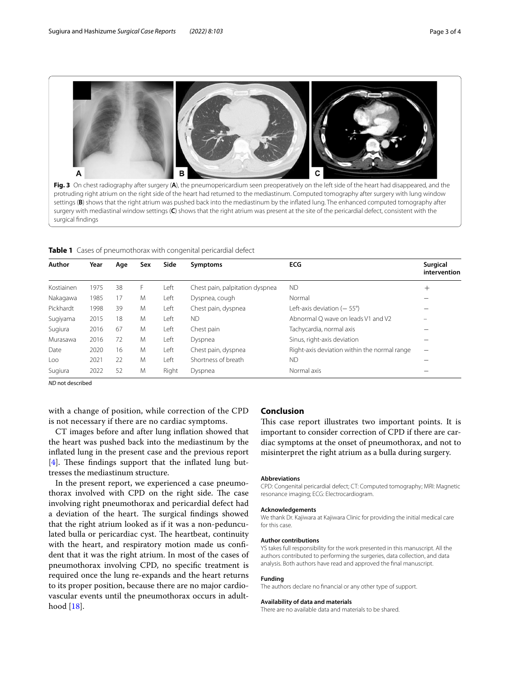

<span id="page-2-0"></span>Fig. 3 On chest radiography after surgery (A), the pneumopericardium seen preoperatively on the left side of the heart had disappeared, and the protruding right atrium on the right side of the heart had returned to the mediastinum. Computed tomography after surgery with lung window settings (**B**) shows that the right atrium was pushed back into the mediastinum by the infated lung. The enhanced computed tomography after surgery with mediastinal window settings (**C**) shows that the right atrium was present at the site of the pericardial defect, consistent with the surgical fndings

<span id="page-2-1"></span>**Table 1** Cases of pneumothorax with congenital pericardial defect

| Author     | Year | Age | Sex | Side  | <b>Symptoms</b>                 | <b>ECG</b>                                   | <b>Surgical</b><br>intervention |
|------------|------|-----|-----|-------|---------------------------------|----------------------------------------------|---------------------------------|
| Kostiainen | 1975 | 38  | F   | Left  | Chest pain, palpitation dyspnea | <b>ND</b>                                    | $^{+}$                          |
| Nakagawa   | 1985 | 17  | M   | Left  | Dyspnea, cough                  | Normal                                       |                                 |
| Pickhardt  | 1998 | 39  | M   | Left  | Chest pain, dyspnea             | Left-axis deviation $(-55^{\circ})$          |                                 |
| Sugiyama   | 2015 | 18  | M   | Left  | <b>ND</b>                       | Abnormal O wave on leads V1 and V2           |                                 |
| Sugiura    | 2016 | 67  | M   | Left  | Chest pain                      | Tachycardia, normal axis                     |                                 |
| Murasawa   | 2016 | 72  | M   | Left  | Dyspnea                         | Sinus, right-axis deviation                  |                                 |
| Date       | 2020 | 16  | M   | Left  | Chest pain, dyspnea             | Right-axis deviation within the normal range | -                               |
| Loo        | 2021 | 22  | M   | Left  | Shortness of breath             | <b>ND</b>                                    |                                 |
| Sugiura    | 2022 | 52  | M   | Right | Dyspnea                         | Normal axis                                  |                                 |

*ND* not described

with a change of position, while correction of the CPD is not necessary if there are no cardiac symptoms.

CT images before and after lung infation showed that the heart was pushed back into the mediastinum by the infated lung in the present case and the previous report  $[4]$  $[4]$ . These findings support that the inflated lung buttresses the mediastinum structure.

In the present report, we experienced a case pneumothorax involved with CPD on the right side. The case involving right pneumothorax and pericardial defect had a deviation of the heart. The surgical findings showed that the right atrium looked as if it was a non-pedunculated bulla or pericardiac cyst. The heartbeat, continuity with the heart, and respiratory motion made us confident that it was the right atrium. In most of the cases of pneumothorax involving CPD, no specifc treatment is required once the lung re-expands and the heart returns to its proper position, because there are no major cardiovascular events until the pneumothorax occurs in adulthood [\[18](#page-3-9)].

## **Conclusion**

This case report illustrates two important points. It is important to consider correction of CPD if there are cardiac symptoms at the onset of pneumothorax, and not to misinterpret the right atrium as a bulla during surgery.

#### **Abbreviations**

CPD: Congenital pericardial defect; CT: Computed tomography; MRI: Magnetic resonance imaging; ECG: Electrocardiogram.

#### **Acknowledgements**

We thank Dr. Kajiwara at Kajiwara Clinic for providing the initial medical care for this case.

#### **Author contributions**

YS takes full responsibility for the work presented in this manuscript. All the authors contributed to performing the surgeries, data collection, and data analysis. Both authors have read and approved the fnal manuscript.

#### **Funding**

The authors declare no fnancial or any other type of support.

#### **Availability of data and materials**

There are no available data and materials to be shared.